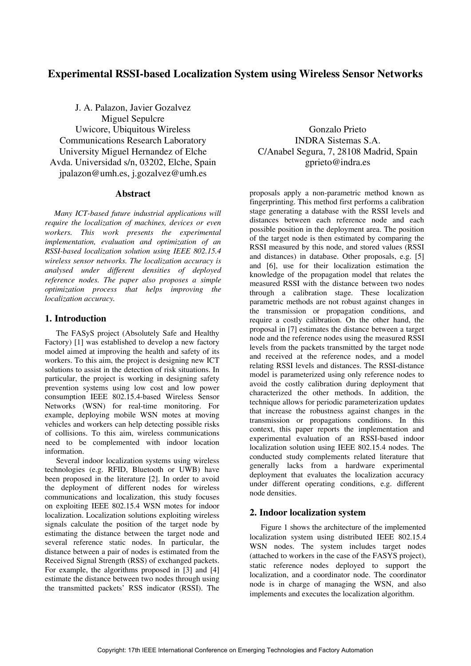# **Experimental RSSI-based Localization System using Wireless Sensor Networks**

J. A. Palazon, Javier Gozalvez Miguel Sepulcre Uwicore, Ubiquitous Wireless Communications Research Laboratory University Miguel Hernandez of Elche Avda. Universidad s/n, 03202, Elche, Spain jpalazon@umh.es, j.gozalvez@umh.es

# **Abstract**

*Many ICT-based future industrial applications will require the localization of machines, devices or even workers. This work presents the experimental implementation, evaluation and optimization of an RSSI-based localization solution using IEEE 802.15.4 wireless sensor networks. The localization accuracy is analysed under different densities of deployed reference nodes. The paper also proposes a simple optimization process that helps improving the localization accuracy.* 

# **1. Introduction**

The FASyS project (Absolutely Safe and Healthy Factory) [1] was established to develop a new factory model aimed at improving the health and safety of its workers. To this aim, the project is designing new ICT solutions to assist in the detection of risk situations. In particular, the project is working in designing safety prevention systems using low cost and low power consumption IEEE 802.15.4-based Wireless Sensor Networks (WSN) for real-time monitoring. For example, deploying mobile WSN motes at moving vehicles and workers can help detecting possible risks of collisions. To this aim, wireless communications need to be complemented with indoor location information.

Several indoor localization systems using wireless technologies (e.g. RFID, Bluetooth or UWB) have been proposed in the literature [2]. In order to avoid the deployment of different nodes for wireless communications and localization, this study focuses on exploiting IEEE 802.15.4 WSN motes for indoor localization. Localization solutions exploiting wireless signals calculate the position of the target node by estimating the distance between the target node and several reference static nodes. In particular, the distance between a pair of nodes is estimated from the Received Signal Strength (RSS) of exchanged packets. For example, the algorithms proposed in [3] and [4] estimate the distance between two nodes through using the transmitted packets' RSS indicator (RSSI). The

Gonzalo Prieto INDRA Sistemas S.A. C/Anabel Segura, 7, 28108 Madrid, Spain gprieto@indra.es

proposals apply a non-parametric method known as fingerprinting. This method first performs a calibration stage generating a database with the RSSI levels and distances between each reference node and each possible position in the deployment area. The position of the target node is then estimated by comparing the RSSI measured by this node, and stored values (RSSI and distances) in database. Other proposals, e.g. [5] and [6], use for their localization estimation the knowledge of the propagation model that relates the measured RSSI with the distance between two nodes through a calibration stage. These localization parametric methods are not robust against changes in the transmission or propagation conditions, and require a costly calibration. On the other hand, the proposal in [7] estimates the distance between a target node and the reference nodes using the measured RSSI levels from the packets transmitted by the target node and received at the reference nodes, and a model relating RSSI levels and distances. The RSSI-distance model is parameterized using only reference nodes to avoid the costly calibration during deployment that characterized the other methods. In addition, the technique allows for periodic parameterization updates that increase the robustness against changes in the transmission or propagations conditions. In this context, this paper reports the implementation and experimental evaluation of an RSSI-based indoor localization solution using IEEE 802.15.4 nodes. The conducted study complements related literature that generally lacks from a hardware experimental deployment that evaluates the localization accuracy under different operating conditions, e.g. different node densities.

# **2. Indoor localization system**

Figure 1 shows the architecture of the implemented localization system using distributed IEEE 802.15.4 WSN nodes. The system includes target nodes (attached to workers in the case of the FASYS project), static reference nodes deployed to support the localization, and a coordinator node. The coordinator node is in charge of managing the WSN, and also implements and executes the localization algorithm.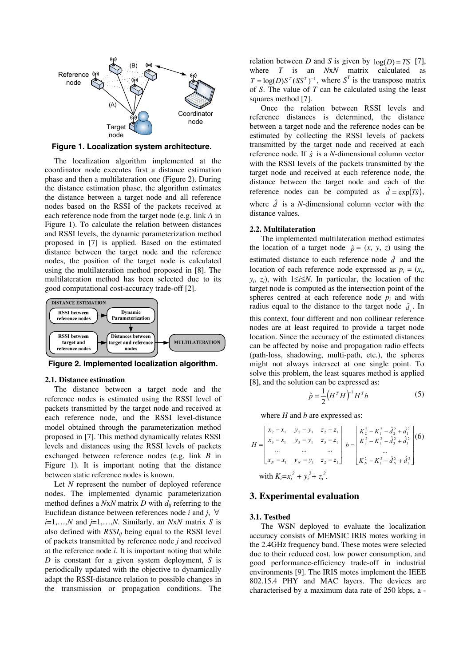

**Figure 1. Localization system architecture.** 

The localization algorithm implemented at the coordinator node executes first a distance estimation phase and then a multilateration one (Figure 2). During the distance estimation phase, the algorithm estimates the distance between a target node and all reference nodes based on the RSSI of the packets received at each reference node from the target node (e.g. link *A* in Figure 1). To calculate the relation between distances and RSSI levels, the dynamic parameterization method proposed in [7] is applied. Based on the estimated distance between the target node and the reference nodes, the position of the target node is calculated using the multilateration method proposed in [8]. The multilateration method has been selected due to its good computational cost-accuracy trade-off [2].



**Figure 2. Implemented localization algorithm.**

#### **2.1. Distance estimation**

The distance between a target node and the reference nodes is estimated using the RSSI level of packets transmitted by the target node and received at each reference node, and the RSSI level-distance model obtained through the parameterization method proposed in [7]. This method dynamically relates RSSI levels and distances using the RSSI levels of packets exchanged between reference nodes (e.g. link *B* in Figure 1). It is important noting that the distance between static reference nodes is known.

Let *N* represent the number of deployed reference nodes. The implemented dynamic parameterization method defines a  $NxN$  matrix *D* with  $d_{ii}$  referring to the Euclidean distance between references node *i* and *j*,  $\forall$  $i=1,...,N$  and  $j=1,...,N$ . Similarly, an *NxN* matrix *S* is also defined with  $RSSI_{ij}$  being equal to the RSSI level of packets transmitted by reference node *j* and received at the reference node *i*. It is important noting that while *D* is constant for a given system deployment, *S* is periodically updated with the objective to dynamically adapt the RSSI-distance relation to possible changes in the transmission or propagation conditions. The

relation between *D* and *S* is given by  $log(D) = TS$  [7], where *T* is an *N*x*N* matrix calculated as  $T = \log(D)S^{T}(SS^{T})^{-1}$ , where  $S^{T}$  is the transpose matrix of *S*. The value of *T* can be calculated using the least squares method [7].

Once the relation between RSSI levels and reference distances is determined, the distance between a target node and the reference nodes can be estimated by collecting the RSSI levels of packets transmitted by the target node and received at each reference node. If *s*ˆ is a *N*-dimensional column vector with the RSSI levels of the packets transmitted by the target node and received at each reference node, the distance between the target node and each of the reference nodes can be computed as  $\hat{d} = \exp(T\hat{s})$ , where  $\hat{d}$  is a *N*-dimensional column vector with the distance values.

#### **2.2. Multilateration**

The implemented multilateration method estimates the location of a target node  $\hat{p} = (x, y, z)$  using the estimated distance to each reference node  $\hat{d}$  and the location of each reference node expressed as  $p_i = (x_i,$  $y_i$ ,  $z_i$ ), with  $1 \le i \le N$ . In particular, the location of the target node is computed as the intersection point of the spheres centred at each reference node  $p_i$  and with radius equal to the distance to the target node  $\hat{d}_i$ . In this context, four different and non collinear reference nodes are at least required to provide a target node location. Since the accuracy of the estimated distances can be affected by noise and propagation radio effects (path-loss, shadowing, multi-path, etc.), the spheres might not always intersect at one single point. To solve this problem, the least squares method is applied [8], and the solution can be expressed as:

$$
\hat{p} = \frac{1}{2} (H^T H)^{-1} H^T b \tag{5}
$$

where *H* and *b* are expressed as:

$$
H = \begin{bmatrix} x_2 - x_1 & y_2 - y_1 & z_2 - z_1 \ x_3 - x_1 & y_3 - y_1 & z_3 - z_1 \ \dots & \dots & \dots & \dots \\ x_N - x_1 & y_N - y_1 & z_2 - z_1 \end{bmatrix} b = \begin{bmatrix} K_2^2 - K_1^2 - \hat{d}_2^2 + \hat{d}_1^2 \\ K_3^2 - K_1^2 - \hat{d}_3^2 + \hat{d}_1^2 \\ \dots & \dots & \dots \\ K_N^2 - K_1^2 - \hat{d}_N^2 + \hat{d}_1^2 \end{bmatrix} (6)
$$
  
with  $K_i = x_i^2 + y_i^2 + z_i^2$ .

# **3. Experimental evaluation**

## **3.1. Testbed**

The WSN deployed to evaluate the localization accuracy consists of MEMSIC IRIS motes working in the 2.4GHz frequency band. These motes were selected due to their reduced cost, low power consumption, and good performance-efficiency trade-off in industrial environments [9]. The IRIS motes implement the IEEE 802.15.4 PHY and MAC layers. The devices are characterised by a maximum data rate of 250 kbps, a -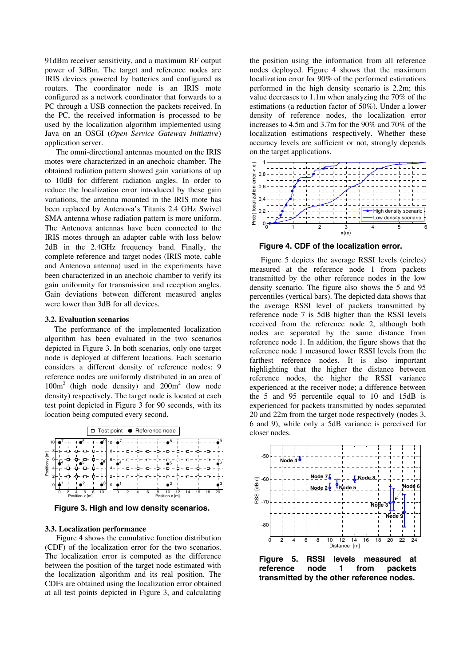91dBm receiver sensitivity, and a maximum RF output power of 3dBm. The target and reference nodes are IRIS devices powered by batteries and configured as routers. The coordinator node is an IRIS mote configured as a network coordinator that forwards to a PC through a USB connection the packets received. In the PC, the received information is processed to be used by the localization algorithm implemented using Java on an OSGI (*Open Service Gateway Initiative*) application server.

The omni-directional antennas mounted on the IRIS motes were characterized in an anechoic chamber. The obtained radiation pattern showed gain variations of up to 10dB for different radiation angles. In order to reduce the localization error introduced by these gain variations, the antenna mounted in the IRIS mote has been replaced by Antenova's Titanis 2.4 GHz Swivel SMA antenna whose radiation pattern is more uniform. The Antenova antennas have been connected to the IRIS motes through an adapter cable with loss below 2dB in the 2.4GHz frequency band. Finally, the complete reference and target nodes (IRIS mote, cable and Antenova antenna) used in the experiments have been characterized in an anechoic chamber to verify its gain uniformity for transmission and reception angles. Gain deviations between different measured angles were lower than 3dB for all devices.

#### **3.2. Evaluation scenarios**

The performance of the implemented localization algorithm has been evaluated in the two scenarios depicted in Figure 3. In both scenarios, only one target node is deployed at different locations. Each scenario considers a different density of reference nodes: 9 reference nodes are uniformly distributed in an area of 100m<sup>2</sup> (high node density) and 200m<sup>2</sup> (low node density) respectively. The target node is located at each test point depicted in Figure 3 for 90 seconds, with its location being computed every second.



**Figure 3. High and low density scenarios.** 

#### **3.3. Localization performance**

Figure 4 shows the cumulative function distribution (CDF) of the localization error for the two scenarios. The localization error is computed as the difference between the position of the target node estimated with the localization algorithm and its real position. The CDFs are obtained using the localization error obtained at all test points depicted in Figure 3, and calculating the position using the information from all reference nodes deployed. Figure 4 shows that the maximum localization error for 90% of the performed estimations performed in the high density scenario is 2.2m; this value decreases to 1.1m when analyzing the 70% of the estimations (a reduction factor of 50%). Under a lower density of reference nodes, the localization error increases to 4.5m and 3.7m for the 90% and 70% of the localization estimations respectively. Whether these accuracy levels are sufficient or not, strongly depends on the target applications.



#### **Figure 4. CDF of the localization error.**

Figure 5 depicts the average RSSI levels (circles) measured at the reference node 1 from packets transmitted by the other reference nodes in the low density scenario. The figure also shows the 5 and 95 percentiles (vertical bars). The depicted data shows that the average RSSI level of packets transmitted by reference node 7 is 5dB higher than the RSSI levels received from the reference node 2, although both nodes are separated by the same distance from reference node 1. In addition, the figure shows that the reference node 1 measured lower RSSI levels from the farthest reference nodes. It is also important highlighting that the higher the distance between reference nodes, the higher the RSSI variance experienced at the receiver node; a difference between the 5 and 95 percentile equal to 10 and 15dB is experienced for packets transmitted by nodes separated 20 and 22m from the target node respectively (nodes 3, 6 and 9), while only a 5dB variance is perceived for closer nodes.